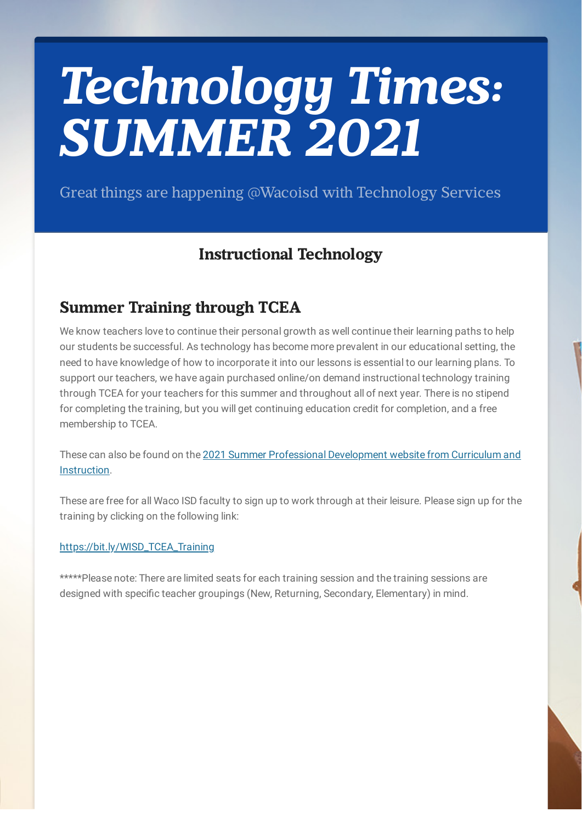# *Technology Times: SUMMER 2021*

Great things are happening @Wacoisd with Technology Services

# **Instructional Technology**

# **Summer Training through TCEA**

We know teachers love to continue their personal growth as well continue their learning paths to help our students be successful. As technology has become more prevalent in our educational setting, the need to have knowledge of how to incorporate it into our lessons is essential to our learning plans. To support our teachers, we have again purchased online/on demand instructional technology training through TCEA for your teachers for this summer and throughout all of next year. There is no stipend for completing the training, but you will get continuing education credit for completion, and a free membership to TCEA.

These can also be found on the 2021 Summer Professional [Development](https://sites.google.com/wacoisd.org/2021-wacoisdsummerpd/sessions-by-department/technology?authuser=0) website from Curriculum and Instruction.

These are free for all Waco ISD faculty to sign up to work through at their leisure. Please sign up for the training by clicking on the following link:

#### [https://bit.ly/WISD\\_TCEA\\_Training](https://bit.ly/WISD_TCEA_Training)

\*\*\*\*\*Please note: There are limited seats for each training session and the training sessions are designed with specific teacher groupings (New, Returning, Secondary, Elementary) in mind.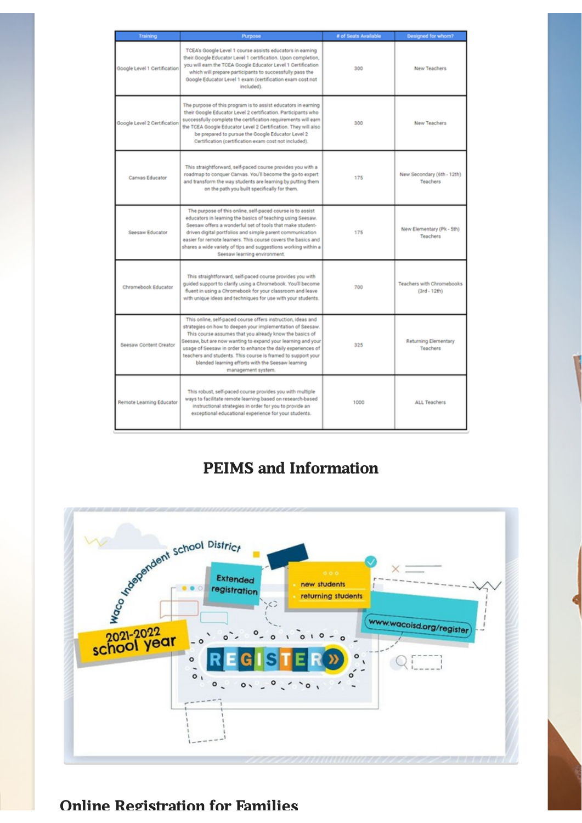| Training                     | Purpose                                                                                                                                                                                                                                                                                                                                                                                                                                                          | # of Seats Available | Designed for whom?                        |
|------------------------------|------------------------------------------------------------------------------------------------------------------------------------------------------------------------------------------------------------------------------------------------------------------------------------------------------------------------------------------------------------------------------------------------------------------------------------------------------------------|----------------------|-------------------------------------------|
| Google Level 1 Certification | TCEA's Google Level 1 course assists educators in earning<br>their Google Educator Level 1 certification. Upon completion,<br>you will earn the TCEA Google Educator Level 1 Certification<br>which will prepare participants to successfully pass the<br>Google Educator Level 1 exam (certification exam cost not<br>included).                                                                                                                                | 300                  | <b>New Teachers</b>                       |
| Google Level 2 Certification | The purpose of this program is to assist educators in earning<br>their Google Educator Level 2 certification. Participants who<br>successfully complete the certification requirements will earn<br>the TCEA Google Educator Level 2 Certification. They will also<br>be prepared to pursue the Google Educator Level 2<br>Certification (certification exam cost not included).                                                                                 | 300                  | <b>New Teachers</b>                       |
| <b>Canvas Educator</b>       | This straightforward, self-paced course provides you with a<br>roadmap to conquer Canvas. You'll become the go-to expert<br>and transform the way students are learning by putting them<br>on the path you built specifically for them.                                                                                                                                                                                                                          | 175                  | New Secondary (6th - 12th)<br>Teachers    |
| Seesaw Educator              | The purpose of this online, self-paced course is to assist<br>educators in learning the basics of teaching using Seesaw.<br>Seesaw offers a wonderful set of tools that make student-<br>driven digital portfolios and simple parent communication<br>easier for remote learners. This course covers the basics and<br>shares a wide variety of tips and suggestions working within a<br>Seesaw learning environment.                                            | 175                  | New Elementary (Pk - 5th)<br>Teachers     |
| Chromebook Educator          | This straightforward, self-paced course provides you with<br>guided support to clarify using a Chromebook. You'll become<br>fluent in using a Chromebook for your classroom and leave<br>with unique ideas and techniques for use with your students.                                                                                                                                                                                                            | 700                  | Teachers with Chromebooks<br>(3rd - 12th) |
| Seesaw Content Creator       | This online, self-paced course offers instruction, ideas and<br>strategies on how to deepen your implementation of Seesaw.<br>This course assumes that you already know the basics of<br>Seesaw, but are now wanting to expand your learning and your<br>usage of Seesaw in order to enhance the daily experiences of<br>teachers and students. This course is framed to support your<br>blended learning efforts with the Seesaw learning<br>management system. | 325                  | <b>Returning Elementary</b><br>Teachers   |
| Remote Learning Educator     | This robust, self-paced course provides you with multiple<br>ways to facilitate remote learning based on research-based<br>instructional strategies in order for you to provide an<br>exceptional educational experience for your students.                                                                                                                                                                                                                      | 1000                 | <b>ALL Teachers</b>                       |

# **PEIMS and Information**



## **Online Registration for Families**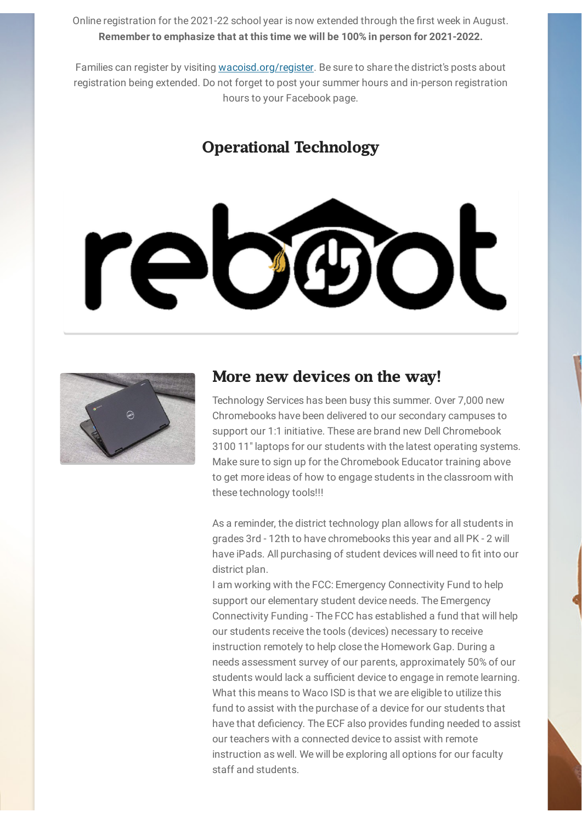Online registration for the 2021-22 school year is now extended through the first week in August. **Remember to emphasize that at this time we will be 100% in person for 2021-2022.**

Families can register by visiting [wacoisd.org/register](https://r20.rs6.net/tn.jsp?f=001Uq1K40hNQ4--cK4Ef5zMtIL3PlYsASEICyKODw_Bq58cg1L23nZfLfU9ZpxwwO6zWwGcufkNlfJG476qtZ8AvlnDL9PKlqeizGyRY4kSoJx08DU20QY_qJyumYkaXRCjeGMYQOtRelWoeubvdNGoOQ==&c=rPIODoxFUNJ-DoCMqlDyAtWHU2WRR_OpcxF24lcxaggvBVLFdVYv5g==&ch=wr6JAA3A6r52NDIv8Bik7LZwNOAGdLb35tKGIKRyvHzv8wrxvTZRgQ==). Be sure to share the district's posts about registration being extended. Do not forget to post your summer hours and in-person registration hours to your Facebook page.

#### **Operational Technology**





#### **More new devices on the way!**

Technology Services has been busy this summer. Over 7,000 new Chromebooks have been delivered to our secondary campuses to support our 1:1 initiative. These are brand new Dell Chromebook 3100 11" laptops for our students with the latest operating systems. Make sure to sign up for the Chromebook Educator training above to get more ideas of how to engage students in the classroom with these technology tools!!!

As a reminder, the district technology plan allows for all students in grades 3rd - 12th to have chromebooks this year and all PK - 2 will have iPads. All purchasing of student devices will need to fit into our district plan.

I am working with the FCC: Emergency Connectivity Fund to help support our elementary student device needs. The Emergency Connectivity Funding - The FCC has established a fund that will help our students receive the tools (devices) necessary to receive instruction remotely to help close the Homework Gap. During a needs assessment survey of our parents, approximately 50% of our students would lack a sufficient device to engage in remote learning. What this means to Waco ISD is that we are eligible to utilize this fund to assist with the purchase of a device for our students that have that deficiency. The ECF also provides funding needed to assist our teachers with a connected device to assist with remote instruction as well. We will be exploring all options for our faculty staff and students.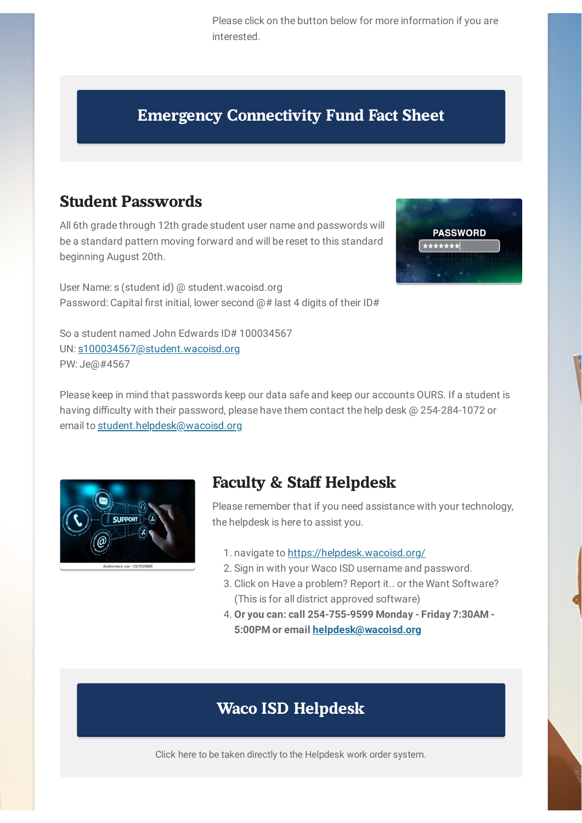Please click on the button below for more information if you are interested.

**PASSWORD** 

## **Emergency [Connectivity](https://drive.google.com/file/d/12bcCu2h-a9Kf6UQ2gF-LKiv0Whjn_KCJ/view?usp=sharing) Fund Fact Sheet**

#### **Student Passwords**

All 6th grade through 12th grade student user name and passwords will be a standard pattern moving forward and will be reset to this standard beginning August 20th.

User Name: s (student id) @ student.wacoisd.org Password: Capital first initial, lower second @# last 4 digits of their ID#

So a student named John Edwards ID# 100034567 UN: [s100034567@student.wacoisd.org](mailto:s100034567@wacoisd.org) PW: Je@#4567

Please keep in mind that passwords keep our data safe and keep our accounts OURS. If a student is having difficulty with their password, please have them contact the help desk @ 254-284-1072 or email to [student.helpdesk@wacoisd.org](mailto:student.helpdesk@wacoisd.org)



## **Faculty & Staff Helpdesk**

Please remember that if you need assistance with your technology, the helpdesk is here to assist you.

- 1. navigate to <https://helpdesk.wacoisd.org/>
- 2. Sign in with your Waco ISD username and password.
- 3. Click on Have a problem? Report it.. or the Want Software? (This is for all district approved software)
- 4. **Or you can: call 254-755-9599 Monday - Friday 7:30AM - 5:00PM or email [helpdesk@wacoisd.org](mailto:helpdesk@wacoisd.org)**

## **Waco ISD [Helpdesk](https://helpdesk.wacoisd.org/userui/welcome.php)**

Click here to be taken directly to the Helpdesk work order system.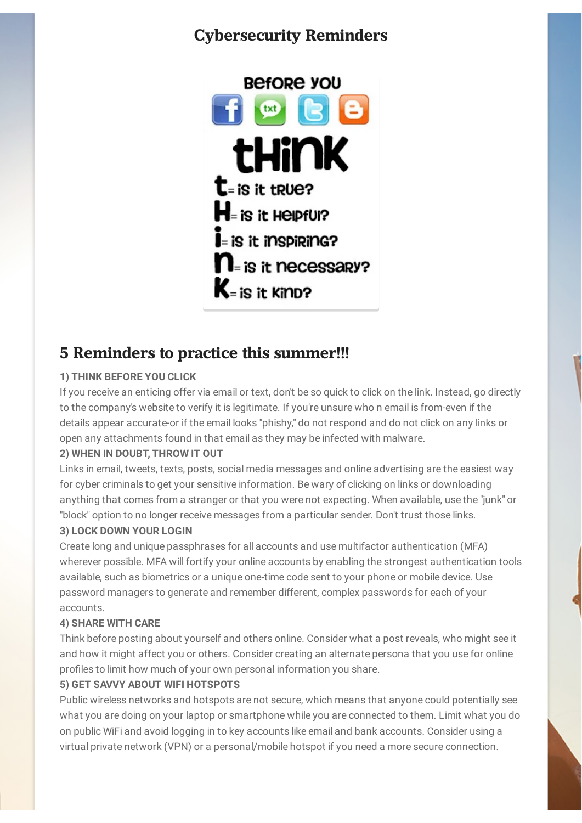## **Cybersecurity Reminders**



## **5 Reminders to practice this summer!!!**

#### **1) THINK BEFORE YOU CLICK**

If you receive an enticing offer via email or text, don't be so quick to click on the link. Instead, go directly to the company's website to verify it is legitimate. If you're unsure who n email is from-even if the details appear accurate-or if the email looks "phishy," do not respond and do not click on any links or open any attachments found in that email as they may be infected with malware.

#### **2) WHEN IN DOUBT, THROW IT OUT**

Links in email, tweets, texts, posts, social media messages and online advertising are the easiest way for cyber criminals to get your sensitive information. Be wary of clicking on links or downloading anything that comes from a stranger or that you were not expecting. When available, use the "junk" or "block" option to no longer receive messages from a particular sender. Don't trust those links.

#### **3) LOCK DOWN YOUR LOGIN**

Create long and unique passphrases for all accounts and use multifactor authentication (MFA) wherever possible. MFA will fortify your online accounts by enabling the strongest authentication tools available, such as biometrics or a unique one-time code sent to your phone or mobile device. Use password managers to generate and remember different, complex passwords for each of your accounts.

#### **4) SHARE WITH CARE**

Think before posting about yourself and others online. Consider what a post reveals, who might see it and how it might affect you or others. Consider creating an alternate persona that you use for online profiles to limit how much of your own personal information you share.

#### **5) GET SAVVY ABOUT WIFI HOTSPOTS**

Public wireless networks and hotspots are not secure, which means that anyone could potentially see what you are doing on your laptop or smartphone while you are connected to them. Limit what you do on public WiFi and avoid logging in to key accounts like email and bank accounts. Consider using a virtual private network (VPN) or a personal/mobile hotspot if you need a more secure connection.